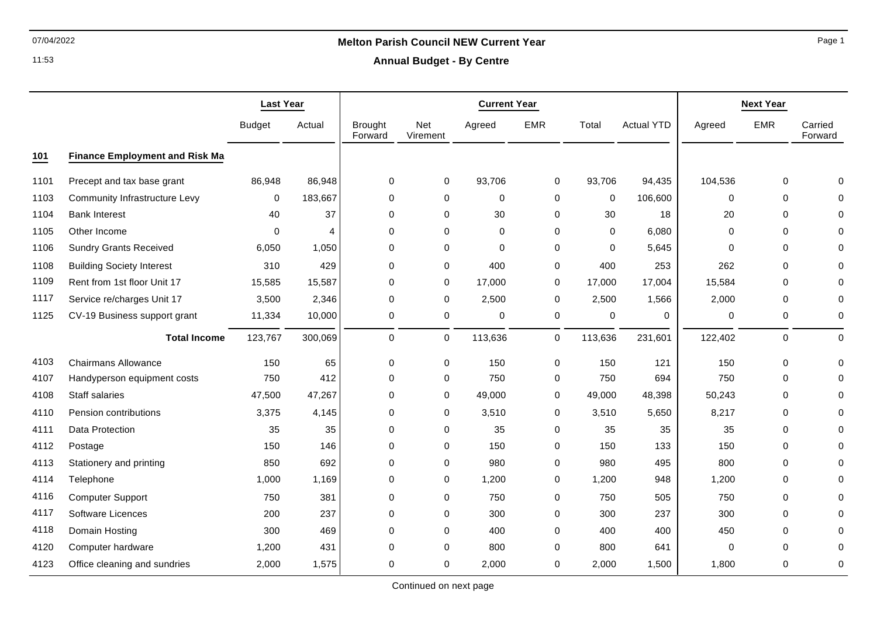11:53

# 07/04/2022 **Melton Parish Council NEW Current Year**

**Annual Budget - By Centre**

|      |                                       | <b>Last Year</b> |         | <b>Current Year</b>       |                 |             |              | <b>Next Year</b> |                   |          |             |                    |
|------|---------------------------------------|------------------|---------|---------------------------|-----------------|-------------|--------------|------------------|-------------------|----------|-------------|--------------------|
|      |                                       | <b>Budget</b>    | Actual  | <b>Brought</b><br>Forward | Net<br>Virement | Agreed      | <b>EMR</b>   | Total            | <b>Actual YTD</b> | Agreed   | <b>EMR</b>  | Carried<br>Forward |
| 101  | <b>Finance Employment and Risk Ma</b> |                  |         |                           |                 |             |              |                  |                   |          |             |                    |
| 1101 | Precept and tax base grant            | 86,948           | 86,948  | $\mathbf 0$               | 0               | 93,706      | $\mathbf 0$  | 93,706           | 94,435            | 104,536  | 0           | $\Omega$           |
| 1103 | <b>Community Infrastructure Levy</b>  | $\mathbf 0$      | 183,667 | 0                         | 0               | 0           | 0            | 0                | 106,600           | 0        | 0           | 0                  |
| 1104 | <b>Bank Interest</b>                  | 40               | 37      | 0                         | 0               | 30          | $\mathbf 0$  | 30               | 18                | 20       | 0           | $\Omega$           |
| 1105 | Other Income                          | 0                | 4       | 0                         | 0               | $\mathbf 0$ | 0            | $\mathbf 0$      | 6,080             | $\Omega$ | 0           | 0                  |
| 1106 | <b>Sundry Grants Received</b>         | 6,050            | 1,050   | 0                         | 0               | $\mathbf 0$ | 0            | $\mathbf 0$      | 5,645             | $\Omega$ | 0           | 0                  |
| 1108 | <b>Building Society Interest</b>      | 310              | 429     | 0                         | 0               | 400         | 0            | 400              | 253               | 262      | 0           | $\Omega$           |
| 1109 | Rent from 1st floor Unit 17           | 15,585           | 15,587  | $\mathbf 0$               | 0               | 17,000      | 0            | 17,000           | 17,004            | 15,584   | $\mathbf 0$ | 0                  |
| 1117 | Service re/charges Unit 17            | 3,500            | 2,346   | 0                         | 0               | 2,500       | 0            | 2,500            | 1,566             | 2,000    | 0           | 0                  |
| 1125 | CV-19 Business support grant          | 11,334           | 10,000  | 0                         | 0               | 0           | 0            | 0                | $\Omega$          | 0        | 0           | 0                  |
|      | <b>Total Income</b>                   | 123,767          | 300,069 | 0                         | $\overline{0}$  | 113,636     | $\mathsf{O}$ | 113,636          | 231,601           | 122,402  | 0           | 0                  |
| 4103 | <b>Chairmans Allowance</b>            | 150              | 65      | 0                         | 0               | 150         | 0            | 150              | 121               | 150      | 0           | $\Omega$           |
| 4107 | Handyperson equipment costs           | 750              | 412     | 0                         | 0               | 750         | 0            | 750              | 694               | 750      | 0           | 0                  |
| 4108 | Staff salaries                        | 47,500           | 47,267  | 0                         | 0               | 49,000      | 0            | 49,000           | 48,398            | 50,243   | 0           | $\Omega$           |
| 4110 | Pension contributions                 | 3,375            | 4,145   | 0                         | 0               | 3,510       | 0            | 3,510            | 5,650             | 8,217    | 0           | 0                  |
| 4111 | Data Protection                       | 35               | 35      | 0                         | 0               | 35          | 0            | 35               | 35                | 35       | 0           | $\Omega$           |
| 4112 | Postage                               | 150              | 146     | 0                         | 0               | 150         | 0            | 150              | 133               | 150      | 0           | $\Omega$           |
| 4113 | Stationery and printing               | 850              | 692     | 0                         | 0               | 980         | $\mathbf 0$  | 980              | 495               | 800      | 0           | $\Omega$           |
| 4114 | Telephone                             | 1,000            | 1,169   | 0                         | 0               | 1,200       | 0            | 1,200            | 948               | 1,200    | 0           | $\Omega$           |
| 4116 | <b>Computer Support</b>               | 750              | 381     | 0                         | 0               | 750         | $\mathbf 0$  | 750              | 505               | 750      | 0           | $\Omega$           |
| 4117 | Software Licences                     | 200              | 237     | 0                         | 0               | 300         | 0            | 300              | 237               | 300      | 0           | $\Omega$           |
| 4118 | Domain Hosting                        | 300              | 469     | 0                         | 0               | 400         | $\mathbf 0$  | 400              | 400               | 450      | 0           | $\Omega$           |
| 4120 | Computer hardware                     | 1,200            | 431     | 0                         | 0               | 800         | 0            | 800              | 641               | 0        | 0           | 0                  |
| 4123 | Office cleaning and sundries          | 2,000            | 1,575   | 0                         | 0               | 2,000       | 0            | 2,000            | 1,500             | 1,800    | 0           | 0                  |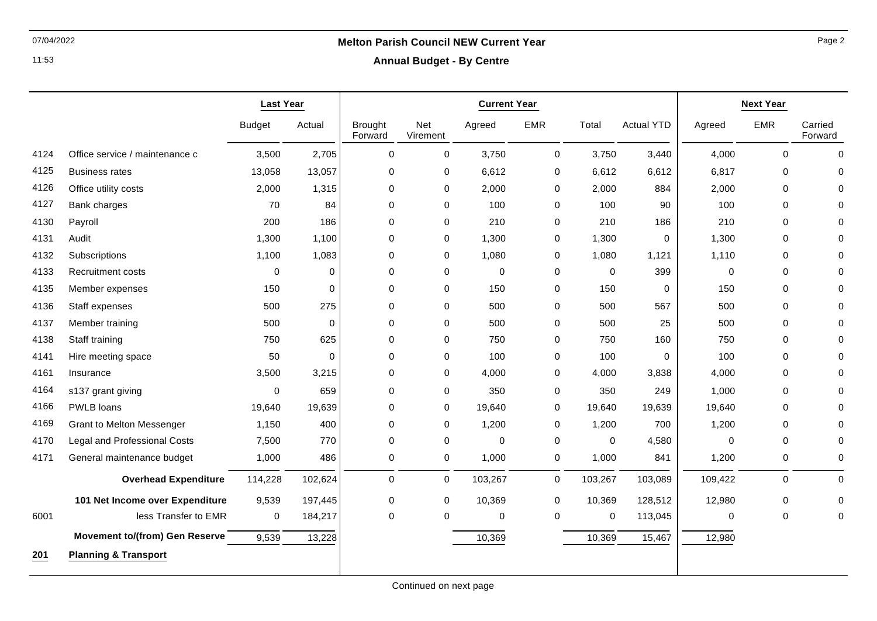11:53

# 07/04/2022 **Melton Parish Council NEW Current Year**

**Annual Budget - By Centre**

|      |                                       | <b>Last Year</b> |             |                           |                 | <b>Next Year</b> |             |             |                   |             |             |                    |
|------|---------------------------------------|------------------|-------------|---------------------------|-----------------|------------------|-------------|-------------|-------------------|-------------|-------------|--------------------|
|      |                                       | <b>Budget</b>    | Actual      | <b>Brought</b><br>Forward | Net<br>Virement | Agreed           | <b>EMR</b>  | Total       | <b>Actual YTD</b> | Agreed      | <b>EMR</b>  | Carried<br>Forward |
| 4124 | Office service / maintenance c        | 3,500            | 2,705       | $\mathbf 0$               | 0               | 3,750            | $\mathbf 0$ | 3,750       | 3,440             | 4,000       | $\mathbf 0$ | $\mathbf 0$        |
| 4125 | <b>Business rates</b>                 | 13,058           | 13,057      | 0                         | 0               | 6,612            | $\pmb{0}$   | 6,612       | 6,612             | 6,817       | 0           | $\Omega$           |
| 4126 | Office utility costs                  | 2,000            | 1,315       | $\mathbf 0$               | 0               | 2,000            | 0           | 2,000       | 884               | 2,000       | $\mathbf 0$ | $\Omega$           |
| 4127 | Bank charges                          | 70               | 84          | $\mathbf 0$               | 0               | 100              | 0           | 100         | 90                | 100         | $\mathbf 0$ | $\Omega$           |
| 4130 | Payroll                               | 200              | 186         | 0                         | 0               | 210              | 0           | 210         | 186               | 210         | 0           | ∩                  |
| 4131 | Audit                                 | 1,300            | 1,100       | $\mathbf 0$               | 0               | 1,300            | $\pmb{0}$   | 1,300       | $\mathbf 0$       | 1,300       | $\mathbf 0$ | $\Omega$           |
| 4132 | Subscriptions                         | 1,100            | 1,083       | $\Omega$                  | 0               | 1,080            | $\mathbf 0$ | 1,080       | 1,121             | 1,110       | $\Omega$    | $\Omega$           |
| 4133 | <b>Recruitment costs</b>              | 0                | $\Omega$    | $\Omega$                  | 0               | $\mathbf 0$      | $\mathbf 0$ | $\mathbf 0$ | 399               | $\mathbf 0$ | $\Omega$    | $\Omega$           |
| 4135 | Member expenses                       | 150              | $\mathbf 0$ | 0                         | 0               | 150              | $\mathbf 0$ | 150         | $\mathbf 0$       | 150         | $\mathbf 0$ | $\Omega$           |
| 4136 | Staff expenses                        | 500              | 275         | $\mathbf 0$               | 0               | 500              | $\mathbf 0$ | 500         | 567               | 500         | $\Omega$    | $\Omega$           |
| 4137 | Member training                       | 500              | $\mathbf 0$ | $\mathbf 0$               | 0               | 500              | $\mathbf 0$ | 500         | 25                | 500         | $\mathbf 0$ | $\Omega$           |
| 4138 | Staff training                        | 750              | 625         | $\Omega$                  | 0               | 750              | 0           | 750         | 160               | 750         | $\mathbf 0$ | $\Omega$           |
| 4141 | Hire meeting space                    | 50               | $\mathbf 0$ | 0                         | 0               | 100              | $\pmb{0}$   | 100         | $\mathbf 0$       | 100         | 0           | $\Omega$           |
| 4161 | Insurance                             | 3,500            | 3,215       | $\Omega$                  | 0               | 4,000            | 0           | 4,000       | 3,838             | 4,000       | $\Omega$    | $\Omega$           |
| 4164 | s137 grant giving                     | $\mathbf 0$      | 659         | $\mathbf 0$               | 0               | 350              | 0           | 350         | 249               | 1,000       | $\mathbf 0$ | $\Omega$           |
| 4166 | PWLB loans                            | 19,640           | 19,639      | 0                         | 0               | 19,640           | 0           | 19,640      | 19,639            | 19,640      | 0           | $\Omega$           |
| 4169 | <b>Grant to Melton Messenger</b>      | 1,150            | 400         | $\mathbf 0$               | 0               | 1,200            | 0           | 1,200       | 700               | 1,200       | $\mathbf 0$ | $\Omega$           |
| 4170 | <b>Legal and Professional Costs</b>   | 7,500            | 770         | 0                         | $\mathsf 0$     | $\mathbf 0$      | $\mathbf 0$ | $\mathbf 0$ | 4,580             | 0           | 0           | $\Omega$           |
| 4171 | General maintenance budget            | 1,000            | 486         | 0                         | 0               | 1,000            | $\pmb{0}$   | 1,000       | 841               | 1,200       | 0           | 0                  |
|      | <b>Overhead Expenditure</b>           | 114,228          | 102,624     | $\mathbf 0$               | 0               | 103,267          | 0           | 103,267     | 103,089           | 109,422     | $\mathbf 0$ | $\Omega$           |
|      | 101 Net Income over Expenditure       | 9,539            | 197,445     | 0                         | 0               | 10,369           | 0           | 10,369      | 128,512           | 12,980      | 0           | 0                  |
| 6001 | less Transfer to EMR                  | 0                | 184,217     | 0                         | 0               | 0                | 0           | 0           | 113,045           | 0           | 0           | 0                  |
|      | <b>Movement to/(from) Gen Reserve</b> | 9,539            | 13,228      |                           |                 | 10,369           |             | 10,369      | 15,467            | 12,980      |             |                    |
| 201  | <b>Planning &amp; Transport</b>       |                  |             |                           |                 |                  |             |             |                   |             |             |                    |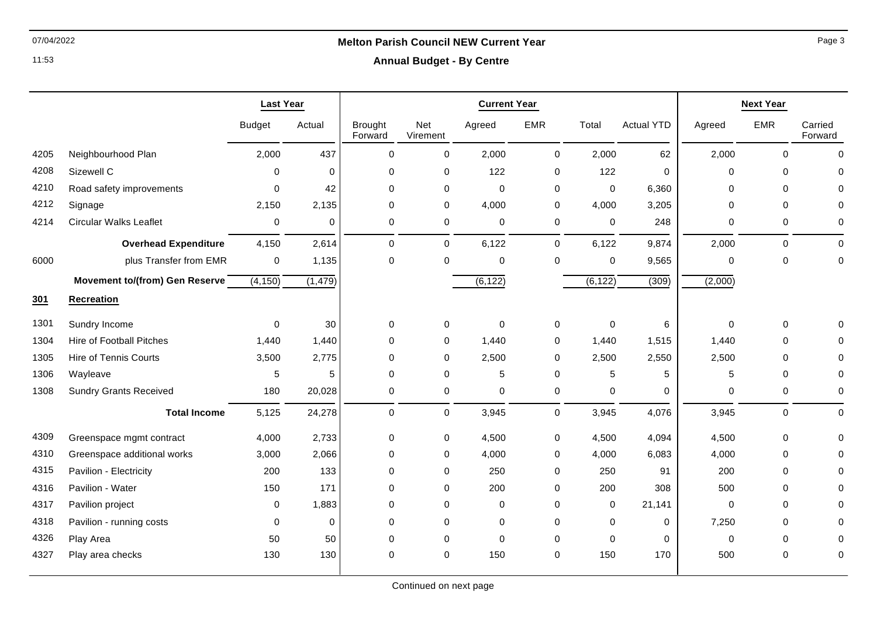## 07/04/2022 **Melton Parish Council NEW Current Year**

11:53

### **Annual Budget - By Centre**

|      |                                 | <b>Last Year</b> |          | <b>Current Year</b>       |                 |             |             |             | <b>Next Year</b>  |             |              |                    |
|------|---------------------------------|------------------|----------|---------------------------|-----------------|-------------|-------------|-------------|-------------------|-------------|--------------|--------------------|
|      |                                 | <b>Budget</b>    | Actual   | <b>Brought</b><br>Forward | Net<br>Virement | Agreed      | <b>EMR</b>  | Total       | <b>Actual YTD</b> | Agreed      | <b>EMR</b>   | Carried<br>Forward |
| 4205 | Neighbourhood Plan              | 2,000            | 437      | $\mathbf 0$               | 0               | 2,000       | 0           | 2,000       | 62                | 2,000       | $\mathbf{0}$ | $\mathbf 0$        |
| 4208 | Sizewell C                      | $\Omega$         | $\Omega$ | 0                         | 0               | 122         | 0           | 122         | 0                 | $\Omega$    | $\mathbf 0$  | 0                  |
| 4210 | Road safety improvements        | $\Omega$         | 42       | 0                         | $\mathbf 0$     | $\mathbf 0$ | 0           | $\mathbf 0$ | 6,360             | $\Omega$    | $\mathbf 0$  |                    |
| 4212 | Signage                         | 2,150            | 2,135    | 0                         | 0               | 4,000       | 0           | 4,000       | 3,205             | $\Omega$    | $\mathbf 0$  | 0                  |
| 4214 | <b>Circular Walks Leaflet</b>   | 0                | 0        | $\pmb{0}$                 | 0               | $\mathbf 0$ | 0           | 0           | 248               | 0           | $\mathbf 0$  | 0                  |
|      | <b>Overhead Expenditure</b>     | 4,150            | 2,614    | $\mathbf 0$               | $\mathbf 0$     | 6,122       | $\mathbf 0$ | 6,122       | 9,874             | 2,000       | $\mathbf 0$  | $\Omega$           |
| 6000 | plus Transfer from EMR          | 0                | 1,135    | $\mathbf 0$               | $\mathbf 0$     | $\mathbf 0$ | 0           | $\mathbf 0$ | 9,565             | $\Omega$    | $\mathbf{0}$ | 0                  |
|      | Movement to/(from) Gen Reserve  | (4, 150)         | (1, 479) |                           |                 | (6, 122)    |             | (6, 122)    | (309)             | (2,000)     |              |                    |
| 301  | <b>Recreation</b>               |                  |          |                           |                 |             |             |             |                   |             |              |                    |
| 1301 | Sundry Income                   | 0                | 30       | 0                         | 0               | $\mathbf 0$ | 0           | $\pmb{0}$   | 6                 | $\mathbf 0$ | $\mathbf 0$  |                    |
| 1304 | <b>Hire of Football Pitches</b> | 1,440            | 1,440    | 0                         | 0               | 1,440       | 0           | 1,440       | 1,515             | 1,440       | $\mathbf 0$  | O                  |
| 1305 | <b>Hire of Tennis Courts</b>    | 3,500            | 2,775    | $\mathbf 0$               | 0               | 2,500       | 0           | 2,500       | 2,550             | 2,500       | $\mathbf 0$  | 0                  |
| 1306 | Wayleave                        | 5                | 5        | 0                         | 0               | 5           | 0           | 5           | 5                 | 5           | $\mathbf 0$  | $\Omega$           |
| 1308 | <b>Sundry Grants Received</b>   | 180              | 20,028   | 0                         | 0               | $\mathbf 0$ | 0           | 0           | 0                 | $\Omega$    | 0            | 0                  |
|      | <b>Total Income</b>             | 5,125            | 24,278   | $\pmb{0}$                 | $\mathbf 0$     | 3,945       | 0           | 3,945       | 4,076             | 3,945       | $\mathbf 0$  | 0                  |
| 4309 | Greenspace mgmt contract        | 4,000            | 2,733    | 0                         | $\mathsf{O}$    | 4,500       | 0           | 4,500       | 4,094             | 4,500       | $\pmb{0}$    | O                  |
| 4310 | Greenspace additional works     | 3,000            | 2,066    | 0                         | 0               | 4,000       | 0           | 4,000       | 6,083             | 4,000       | $\mathbf 0$  | 0                  |
| 4315 | Pavilion - Electricity          | 200              | 133      | 0                         | 0               | 250         | 0           | 250         | 91                | 200         | $\mathbf 0$  | O                  |
| 4316 | Pavilion - Water                | 150              | 171      | 0                         | $\mathbf 0$     | 200         | 0           | 200         | 308               | 500         | $\mathbf 0$  | O                  |
| 4317 | Pavilion project                | 0                | 1,883    | 0                         | $\mathbf 0$     | $\mathbf 0$ | 0           | 0           | 21,141            | $\mathbf 0$ | $\mathbf 0$  | U                  |
| 4318 | Pavilion - running costs        | 0                | $\Omega$ | 0                         | $\mathbf 0$     | $\mathbf 0$ | 0           | 0           | $\mathbf 0$       | 7,250       | $\mathbf 0$  |                    |
| 4326 | Play Area                       | 50               | 50       | 0                         | $\mathbf 0$     | $\mathbf 0$ | 0           | $\Omega$    | 0                 | $\Omega$    | $\Omega$     | $\Omega$           |
| 4327 | Play area checks                | 130              | 130      | 0                         | $\mathbf 0$     | 150         | 0           | 150         | 170               | 500         | $\mathbf 0$  | 0                  |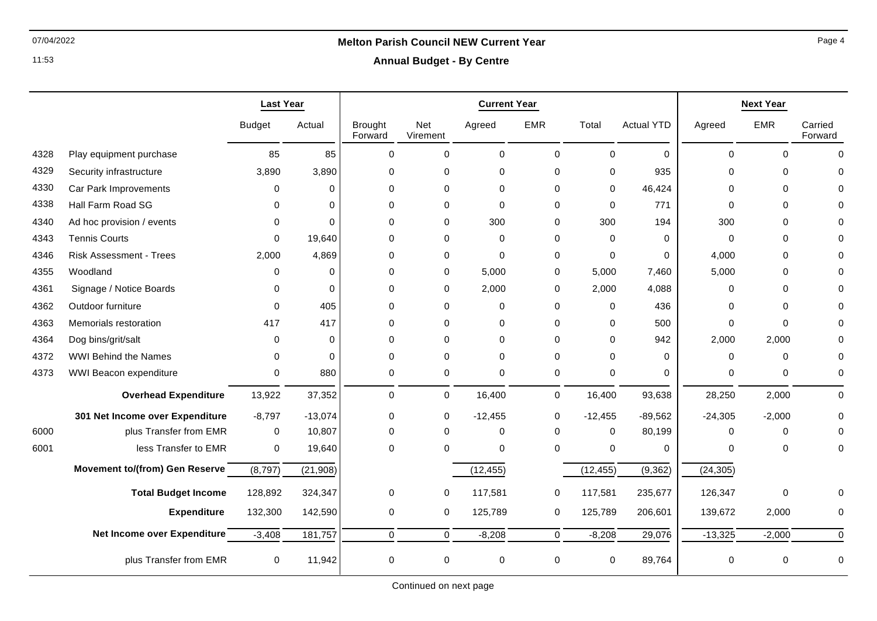11:53

## 07/04/2022 **Melton Parish Council NEW Current Year**

**Annual Budget - By Centre**

|      |                                       | <b>Last Year</b> |             | <b>Current Year</b>       |                 |             |                |             | <b>Next Year</b>  |             |             |                    |
|------|---------------------------------------|------------------|-------------|---------------------------|-----------------|-------------|----------------|-------------|-------------------|-------------|-------------|--------------------|
|      |                                       | <b>Budget</b>    | Actual      | <b>Brought</b><br>Forward | Net<br>Virement | Agreed      | <b>EMR</b>     | Total       | <b>Actual YTD</b> | Agreed      | <b>EMR</b>  | Carried<br>Forward |
| 4328 | Play equipment purchase               | 85               | 85          | $\Omega$                  | $\mathbf 0$     | $\mathbf 0$ | $\mathbf 0$    | $\Omega$    | $\Omega$          | $\Omega$    | $\Omega$    | $\Omega$           |
| 4329 | Security infrastructure               | 3,890            | 3,890       | $\Omega$                  | $\Omega$        | $\Omega$    | $\Omega$       | $\Omega$    | 935               | $\Omega$    | $\Omega$    | U                  |
| 4330 | Car Park Improvements                 | 0                | $\mathbf 0$ | 0                         | $\mathbf 0$     | $\mathbf 0$ | 0              | 0           | 46,424            | $\Omega$    | $\mathbf 0$ |                    |
| 4338 | Hall Farm Road SG                     | 0                | $\Omega$    | $\mathbf 0$               | $\mathbf 0$     | $\Omega$    | 0              | $\mathbf 0$ | 771               | $\Omega$    | $\Omega$    |                    |
| 4340 | Ad hoc provision / events             | 0                | $\Omega$    | $\mathbf 0$               | $\mathbf 0$     | 300         | 0              | 300         | 194               | 300         | $\Omega$    |                    |
| 4343 | <b>Tennis Courts</b>                  | 0                | 19,640      | $\Omega$                  | $\mathbf 0$     | 0           | 0              | $\Omega$    | 0                 | $\Omega$    | $\Omega$    |                    |
| 4346 | <b>Risk Assessment - Trees</b>        | 2.000            | 4,869       | $\Omega$                  | $\mathbf 0$     | $\Omega$    | 0              | $\Omega$    | $\Omega$          | 4,000       | $\Omega$    |                    |
| 4355 | Woodland                              | <sup>0</sup>     | $\Omega$    | $\Omega$                  | 0               | 5,000       | 0              | 5,000       | 7,460             | 5,000       | $\Omega$    |                    |
| 4361 | Signage / Notice Boards               | 0                | $\Omega$    | $\mathbf 0$               | 0               | 2,000       | 0              | 2,000       | 4,088             | $\mathbf 0$ | $\Omega$    |                    |
| 4362 | Outdoor furniture                     | $\Omega$         | 405         | $\mathbf 0$               | $\mathbf 0$     | $\mathbf 0$ | $\mathbf 0$    | $\mathbf 0$ | 436               | $\Omega$    | $\Omega$    |                    |
| 4363 | Memorials restoration                 | 417              | 417         | $\Omega$                  | $\Omega$        | 0           | 0              | $\Omega$    | 500               | $\Omega$    | $\Omega$    |                    |
| 4364 | Dog bins/grit/salt                    | $\Omega$         | $\Omega$    | $\Omega$                  | $\Omega$        | $\Omega$    | 0              | $\Omega$    | 942               | 2,000       | 2,000       |                    |
| 4372 | <b>WWI Behind the Names</b>           | 0                | $\Omega$    | $\Omega$                  | $\mathbf 0$     | $\Omega$    | $\mathbf 0$    | $\Omega$    | $\Omega$          | $\Omega$    | $\Omega$    |                    |
| 4373 | WWI Beacon expenditure                | 0                | 880         | 0                         | $\pmb{0}$       | $\mathbf 0$ | 0              | 0           | 0                 | 0           | 0           | 0                  |
|      | <b>Overhead Expenditure</b>           | 13,922           | 37,352      | $\mathbf 0$               | 0               | 16,400      | $\mathbf 0$    | 16,400      | 93,638            | 28,250      | 2,000       | $\Omega$           |
|      | 301 Net Income over Expenditure       | $-8,797$         | $-13,074$   | 0                         | $\mathbf 0$     | $-12,455$   | 0              | $-12,455$   | $-89,562$         | $-24,305$   | $-2,000$    | $\Omega$           |
| 6000 | plus Transfer from EMR                | $\mathbf 0$      | 10,807      | $\mathbf 0$               | $\mathbf 0$     | $\mathbf 0$ | 0              | $\mathbf 0$ | 80,199            | $\Omega$    | $\mathbf 0$ | O                  |
| 6001 | less Transfer to EMR                  | $\mathbf 0$      | 19,640      | $\Omega$                  | $\Omega$        | $\mathbf 0$ | $\Omega$       | $\mathbf 0$ | $\mathbf 0$       | $\Omega$    | $\Omega$    | $\Omega$           |
|      | <b>Movement to/(from) Gen Reserve</b> | (8,797)          | (21, 908)   |                           |                 | (12, 455)   |                | (12, 455)   | (9, 362)          | (24, 305)   |             |                    |
|      | <b>Total Budget Income</b>            | 128,892          | 324,347     | 0                         | 0               | 117,581     | 0              | 117,581     | 235,677           | 126,347     | $\mathbf 0$ |                    |
|      | <b>Expenditure</b>                    | 132,300          | 142,590     | 0                         | 0               | 125,789     | 0              | 125,789     | 206,601           | 139,672     | 2,000       | 0                  |
|      | Net Income over Expenditure           | $-3,408$         | 181,757     | $\mathbf 0$               | $\overline{0}$  | $-8,208$    | $\overline{0}$ | $-8,208$    | 29,076            | $-13,325$   | $-2,000$    | $\Omega$           |
|      | plus Transfer from EMR                | $\mathbf 0$      | 11,942      | 0                         | $\mathbf 0$     | 0           | 0              | 0           | 89,764            | 0           | $\mathbf 0$ | 0                  |